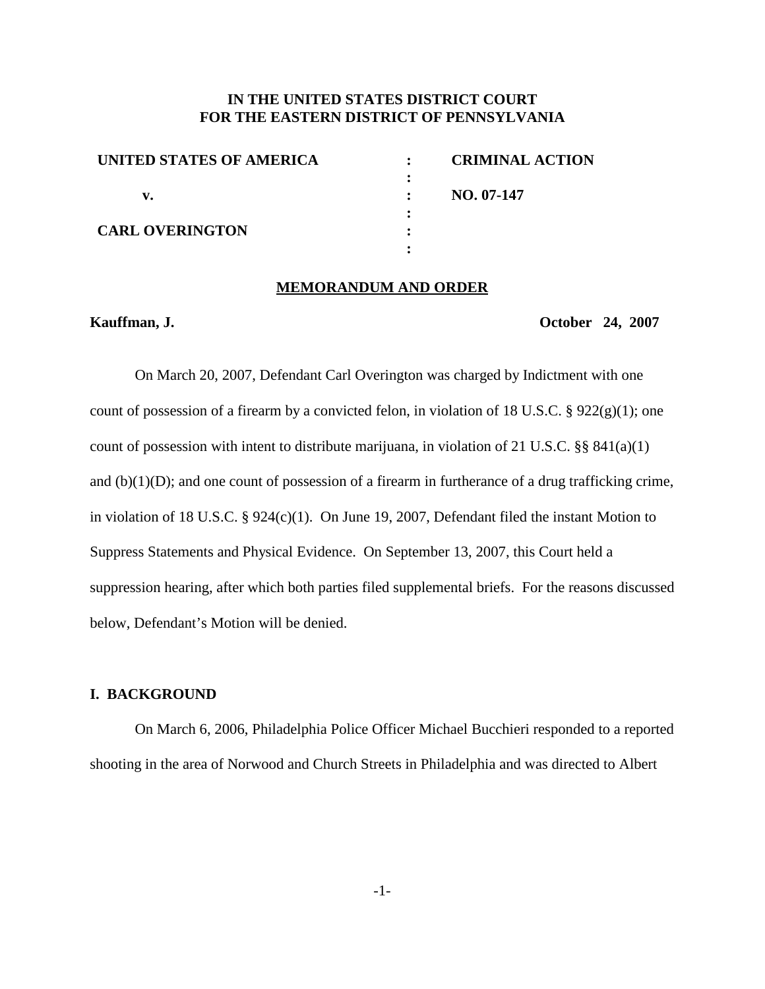# **IN THE UNITED STATES DISTRICT COURT FOR THE EASTERN DISTRICT OF PENNSYLVANIA**

| UNITED STATES OF AMERICA | <b>CRIMINAL ACTION</b> |
|--------------------------|------------------------|
|                          |                        |
|                          | NO. 07-147             |
| <b>CARL OVERINGTON</b>   |                        |
|                          |                        |
|                          |                        |

#### **MEMORANDUM AND ORDER**

**Kauffman, J. October 24, 2007**

On March 20, 2007, Defendant Carl Overington was charged by Indictment with one count of possession of a firearm by a convicted felon, in violation of 18 U.S.C. §  $922(g)(1)$ ; one count of possession with intent to distribute marijuana, in violation of 21 U.S.C. §§ 841(a)(1) and  $(b)(1)(D)$ ; and one count of possession of a firearm in furtherance of a drug trafficking crime, in violation of 18 U.S.C. § 924(c)(1). On June 19, 2007, Defendant filed the instant Motion to Suppress Statements and Physical Evidence. On September 13, 2007, this Court held a suppression hearing, after which both parties filed supplemental briefs. For the reasons discussed below, Defendant's Motion will be denied.

# **I. BACKGROUND**

On March 6, 2006, Philadelphia Police Officer Michael Bucchieri responded to a reported shooting in the area of Norwood and Church Streets in Philadelphia and was directed to Albert

-1-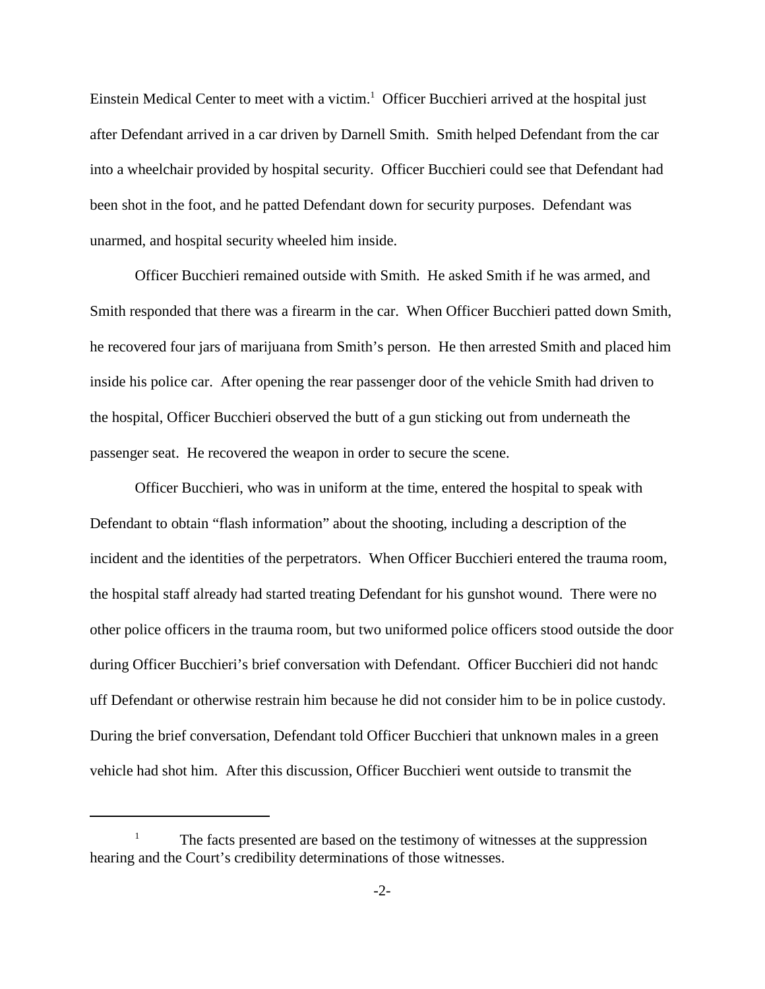Einstein Medical Center to meet with a victim.<sup>1</sup> Officer Bucchieri arrived at the hospital just after Defendant arrived in a car driven by Darnell Smith. Smith helped Defendant from the car into a wheelchair provided by hospital security. Officer Bucchieri could see that Defendant had been shot in the foot, and he patted Defendant down for security purposes. Defendant was unarmed, and hospital security wheeled him inside.

Officer Bucchieri remained outside with Smith. He asked Smith if he was armed, and Smith responded that there was a firearm in the car. When Officer Bucchieri patted down Smith, he recovered four jars of marijuana from Smith's person. He then arrested Smith and placed him inside his police car. After opening the rear passenger door of the vehicle Smith had driven to the hospital, Officer Bucchieri observed the butt of a gun sticking out from underneath the passenger seat. He recovered the weapon in order to secure the scene.

Officer Bucchieri, who was in uniform at the time, entered the hospital to speak with Defendant to obtain "flash information" about the shooting, including a description of the incident and the identities of the perpetrators. When Officer Bucchieri entered the trauma room, the hospital staff already had started treating Defendant for his gunshot wound. There were no other police officers in the trauma room, but two uniformed police officers stood outside the door during Officer Bucchieri's brief conversation with Defendant. Officer Bucchieri did not handc uff Defendant or otherwise restrain him because he did not consider him to be in police custody. During the brief conversation, Defendant told Officer Bucchieri that unknown males in a green vehicle had shot him. After this discussion, Officer Bucchieri went outside to transmit the

<sup>1</sup> The facts presented are based on the testimony of witnesses at the suppression hearing and the Court's credibility determinations of those witnesses.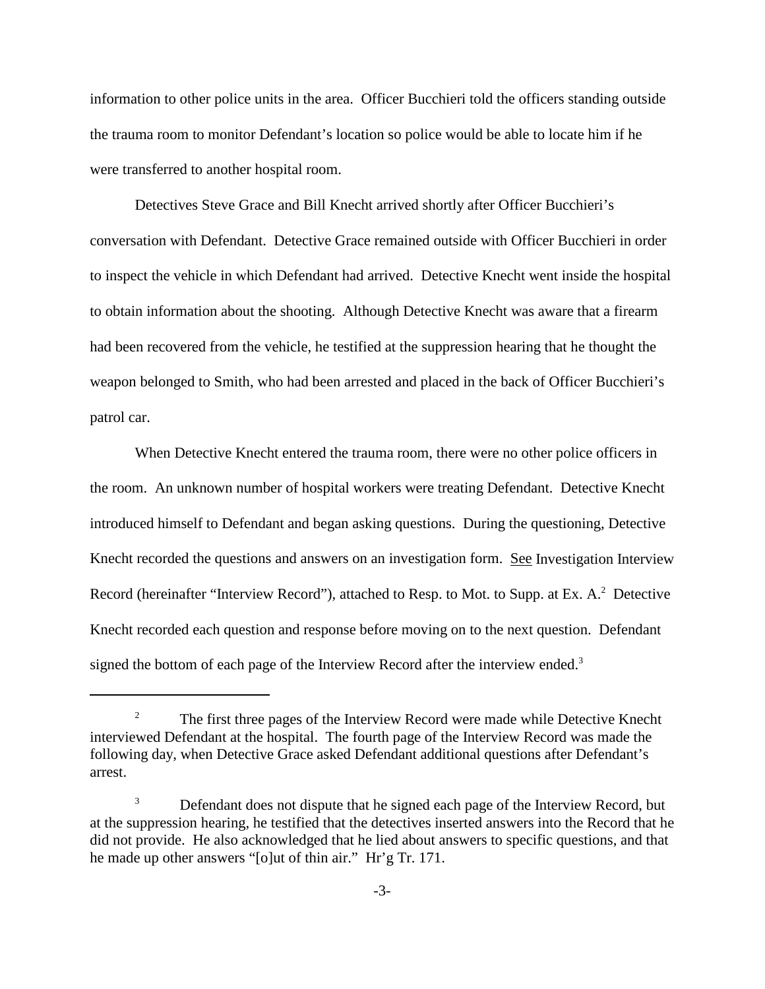information to other police units in the area. Officer Bucchieri told the officers standing outside the trauma room to monitor Defendant's location so police would be able to locate him if he were transferred to another hospital room.

Detectives Steve Grace and Bill Knecht arrived shortly after Officer Bucchieri's conversation with Defendant. Detective Grace remained outside with Officer Bucchieri in order to inspect the vehicle in which Defendant had arrived. Detective Knecht went inside the hospital to obtain information about the shooting. Although Detective Knecht was aware that a firearm had been recovered from the vehicle, he testified at the suppression hearing that he thought the weapon belonged to Smith, who had been arrested and placed in the back of Officer Bucchieri's patrol car.

When Detective Knecht entered the trauma room, there were no other police officers in the room. An unknown number of hospital workers were treating Defendant. Detective Knecht introduced himself to Defendant and began asking questions. During the questioning, Detective Knecht recorded the questions and answers on an investigation form. See Investigation Interview Record (hereinafter "Interview Record"), attached to Resp. to Mot. to Supp. at Ex. A.<sup>2</sup> Detective Knecht recorded each question and response before moving on to the next question. Defendant signed the bottom of each page of the Interview Record after the interview ended.<sup>3</sup>

<sup>&</sup>lt;sup>2</sup> The first three pages of the Interview Record were made while Detective Knecht interviewed Defendant at the hospital. The fourth page of the Interview Record was made the following day, when Detective Grace asked Defendant additional questions after Defendant's arrest.

<sup>&</sup>lt;sup>3</sup> Defendant does not dispute that he signed each page of the Interview Record, but at the suppression hearing, he testified that the detectives inserted answers into the Record that he did not provide. He also acknowledged that he lied about answers to specific questions, and that he made up other answers "[o]ut of thin air." Hr'g Tr. 171.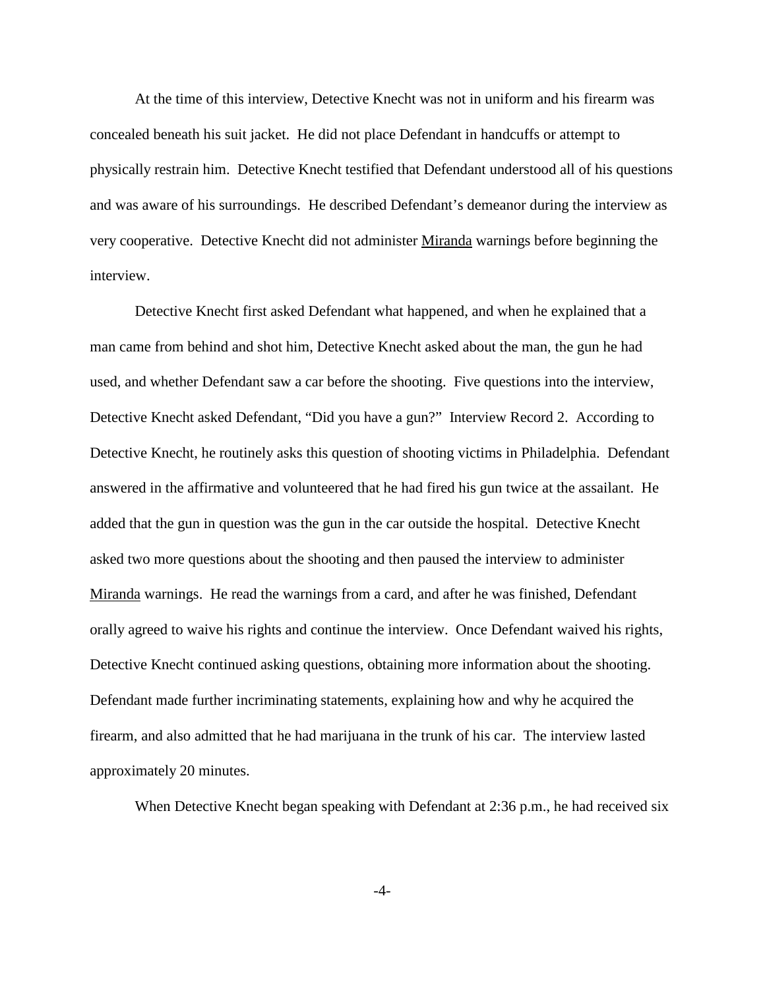At the time of this interview, Detective Knecht was not in uniform and his firearm was concealed beneath his suit jacket. He did not place Defendant in handcuffs or attempt to physically restrain him. Detective Knecht testified that Defendant understood all of his questions and was aware of his surroundings. He described Defendant's demeanor during the interview as very cooperative. Detective Knecht did not administer Miranda warnings before beginning the interview.

Detective Knecht first asked Defendant what happened, and when he explained that a man came from behind and shot him, Detective Knecht asked about the man, the gun he had used, and whether Defendant saw a car before the shooting. Five questions into the interview, Detective Knecht asked Defendant, "Did you have a gun?" Interview Record 2. According to Detective Knecht, he routinely asks this question of shooting victims in Philadelphia. Defendant answered in the affirmative and volunteered that he had fired his gun twice at the assailant. He added that the gun in question was the gun in the car outside the hospital. Detective Knecht asked two more questions about the shooting and then paused the interview to administer Miranda warnings. He read the warnings from a card, and after he was finished, Defendant orally agreed to waive his rights and continue the interview. Once Defendant waived his rights, Detective Knecht continued asking questions, obtaining more information about the shooting. Defendant made further incriminating statements, explaining how and why he acquired the firearm, and also admitted that he had marijuana in the trunk of his car. The interview lasted approximately 20 minutes.

When Detective Knecht began speaking with Defendant at 2:36 p.m., he had received six

-4-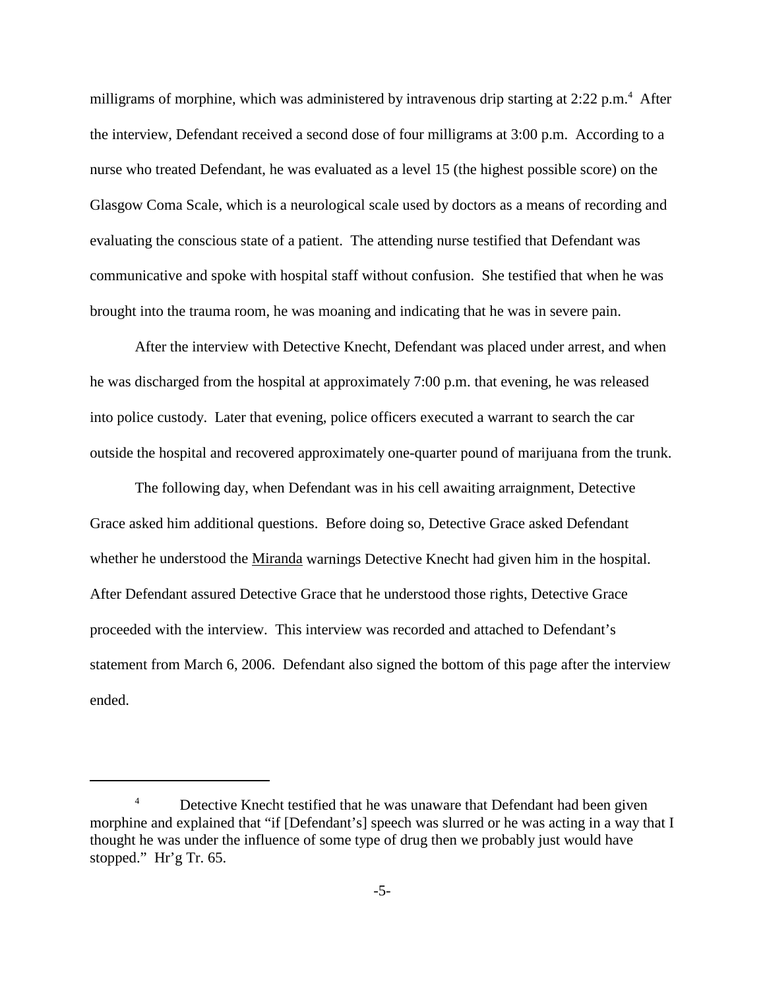milligrams of morphine, which was administered by intravenous drip starting at 2:22 p.m.<sup>4</sup> After the interview, Defendant received a second dose of four milligrams at 3:00 p.m. According to a nurse who treated Defendant, he was evaluated as a level 15 (the highest possible score) on the Glasgow Coma Scale, which is a neurological scale used by doctors as a means of recording and evaluating the conscious state of a patient. The attending nurse testified that Defendant was communicative and spoke with hospital staff without confusion. She testified that when he was brought into the trauma room, he was moaning and indicating that he was in severe pain.

After the interview with Detective Knecht, Defendant was placed under arrest, and when he was discharged from the hospital at approximately 7:00 p.m. that evening, he was released into police custody. Later that evening, police officers executed a warrant to search the car outside the hospital and recovered approximately one-quarter pound of marijuana from the trunk.

The following day, when Defendant was in his cell awaiting arraignment, Detective Grace asked him additional questions. Before doing so, Detective Grace asked Defendant whether he understood the Miranda warnings Detective Knecht had given him in the hospital. After Defendant assured Detective Grace that he understood those rights, Detective Grace proceeded with the interview. This interview was recorded and attached to Defendant's statement from March 6, 2006. Defendant also signed the bottom of this page after the interview ended.

<sup>&</sup>lt;sup>4</sup> Detective Knecht testified that he was unaware that Defendant had been given morphine and explained that "if [Defendant's] speech was slurred or he was acting in a way that I thought he was under the influence of some type of drug then we probably just would have stopped." Hr'g Tr. 65.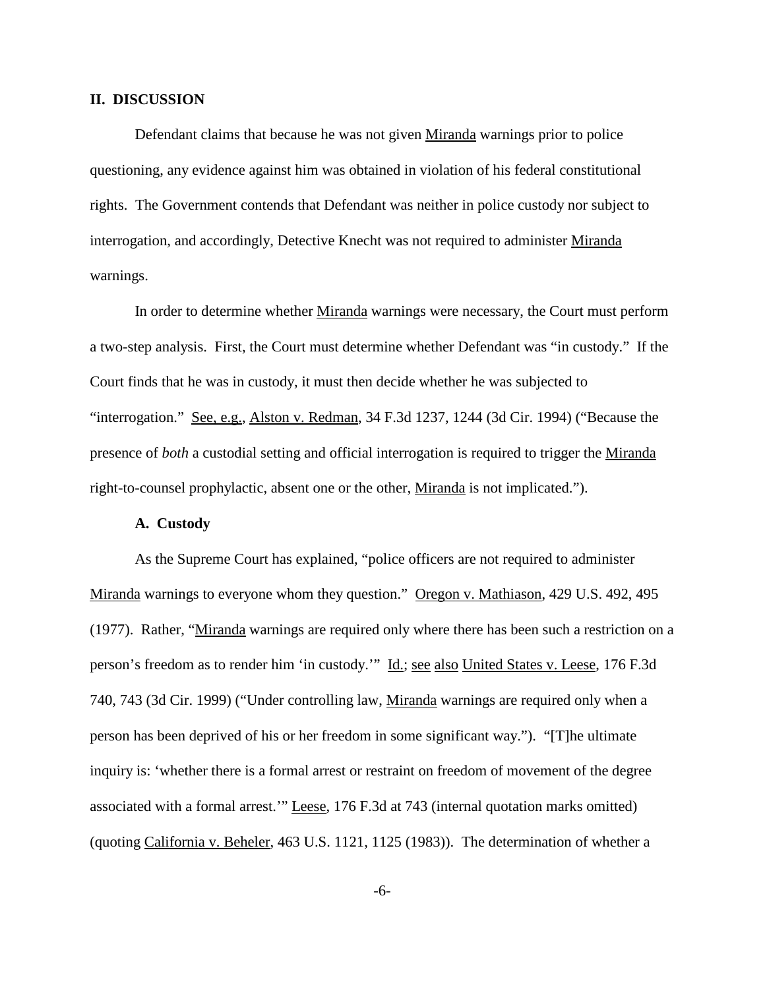#### **II. DISCUSSION**

Defendant claims that because he was not given Miranda warnings prior to police questioning, any evidence against him was obtained in violation of his federal constitutional rights. The Government contends that Defendant was neither in police custody nor subject to interrogation, and accordingly, Detective Knecht was not required to administer Miranda warnings.

In order to determine whether Miranda warnings were necessary, the Court must perform a two-step analysis. First, the Court must determine whether Defendant was "in custody." If the Court finds that he was in custody, it must then decide whether he was subjected to "interrogation." See, e.g., Alston v. Redman, 34 F.3d 1237, 1244 (3d Cir. 1994) ("Because the presence of *both* a custodial setting and official interrogation is required to trigger the Miranda right-to-counsel prophylactic, absent one or the other, Miranda is not implicated.").

#### **A. Custody**

As the Supreme Court has explained, "police officers are not required to administer Miranda warnings to everyone whom they question." Oregon v. Mathiason, 429 U.S. 492, 495 (1977). Rather, "Miranda warnings are required only where there has been such a restriction on a person's freedom as to render him 'in custody.'" Id.; see also United States v. Leese, 176 F.3d 740, 743 (3d Cir. 1999) ("Under controlling law, Miranda warnings are required only when a person has been deprived of his or her freedom in some significant way."). "[T]he ultimate inquiry is: 'whether there is a formal arrest or restraint on freedom of movement of the degree associated with a formal arrest.'" Leese, 176 F.3d at 743 (internal quotation marks omitted) (quoting California v. Beheler, 463 U.S. 1121, 1125 (1983)). The determination of whether a

-6-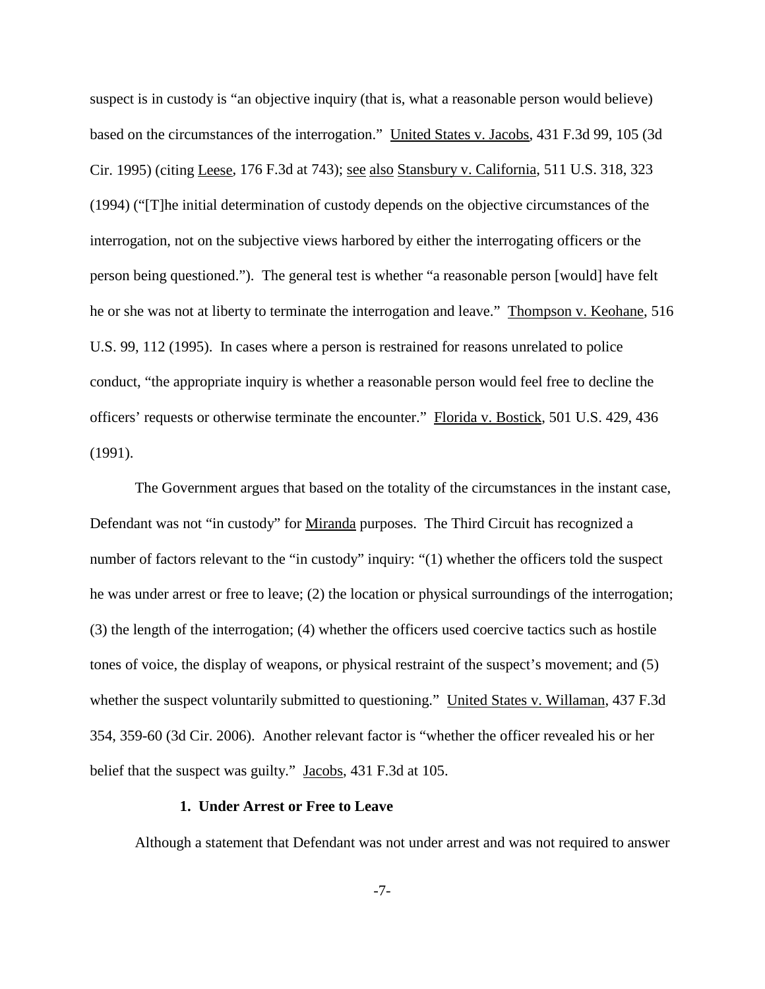suspect is in custody is "an objective inquiry (that is, what a reasonable person would believe) based on the circumstances of the interrogation." United States v. Jacobs, 431 F.3d 99, 105 (3d Cir. 1995) (citing Leese, 176 F.3d at 743); see also Stansbury v. California, 511 U.S. 318, 323 (1994) ("[T]he initial determination of custody depends on the objective circumstances of the interrogation, not on the subjective views harbored by either the interrogating officers or the person being questioned."). The general test is whether "a reasonable person [would] have felt he or she was not at liberty to terminate the interrogation and leave." Thompson v. Keohane, 516 U.S. 99, 112 (1995). In cases where a person is restrained for reasons unrelated to police conduct, "the appropriate inquiry is whether a reasonable person would feel free to decline the officers' requests or otherwise terminate the encounter." Florida v. Bostick, 501 U.S. 429, 436 (1991).

The Government argues that based on the totality of the circumstances in the instant case, Defendant was not "in custody" for Miranda purposes. The Third Circuit has recognized a number of factors relevant to the "in custody" inquiry: "(1) whether the officers told the suspect he was under arrest or free to leave; (2) the location or physical surroundings of the interrogation; (3) the length of the interrogation; (4) whether the officers used coercive tactics such as hostile tones of voice, the display of weapons, or physical restraint of the suspect's movement; and (5) whether the suspect voluntarily submitted to questioning." United States v. Willaman, 437 F.3d 354, 359-60 (3d Cir. 2006). Another relevant factor is "whether the officer revealed his or her belief that the suspect was guilty." Jacobs, 431 F.3d at 105.

#### **1. Under Arrest or Free to Leave**

Although a statement that Defendant was not under arrest and was not required to answer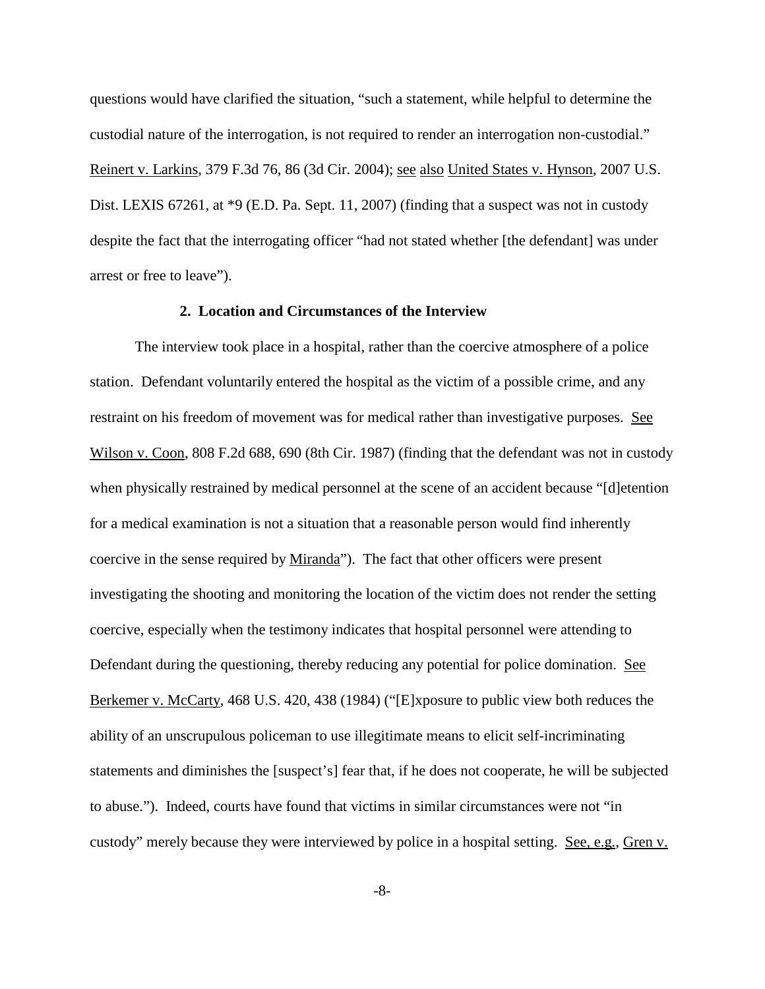questions would have clarified the situation, "such a statement, while helpful to determine the custodial nature of the interrogation, is not required to render an interrogation non-custodial." Reinert v. Larkins, 379 F.3d 76, 86 (3d Cir. 2004); see also United States v. Hynson, 2007 U.S. Dist. LEXIS 67261, at  $*9$  (E.D. Pa. Sept. 11, 2007) (finding that a suspect was not in custody despite the fact that the interrogating officer "had not stated whether [the defendant] was under arrest or free to leave").

### **2. Location and Circumstances of the Interview**

The interview took place in a hospital, rather than the coercive atmosphere of a police station. Defendant voluntarily entered the hospital as the victim of a possible crime, and any restraint on his freedom of movement was for medical rather than investigative purposes. See Wilson v. Coon, 808 F.2d 688, 690 (8th Cir. 1987) (finding that the defendant was not in custody when physically restrained by medical personnel at the scene of an accident because "[d]etention for a medical examination is not a situation that a reasonable person would find inherently coercive in the sense required by Miranda"). The fact that other officers were present investigating the shooting and monitoring the location of the victim does not render the setting coercive, especially when the testimony indicates that hospital personnel were attending to Defendant during the questioning, thereby reducing any potential for police domination. See Berkemer v. McCarty, 468 U.S. 420, 438 (1984) ("[E]xposure to public view both reduces the ability of an unscrupulous policeman to use illegitimate means to elicit self-incriminating statements and diminishes the [suspect's] fear that, if he does not cooperate, he will be subjected to abuse."). Indeed, courts have found that victims in similar circumstances were not "in custody" merely because they were interviewed by police in a hospital setting. See, e.g., Gren v.

-8-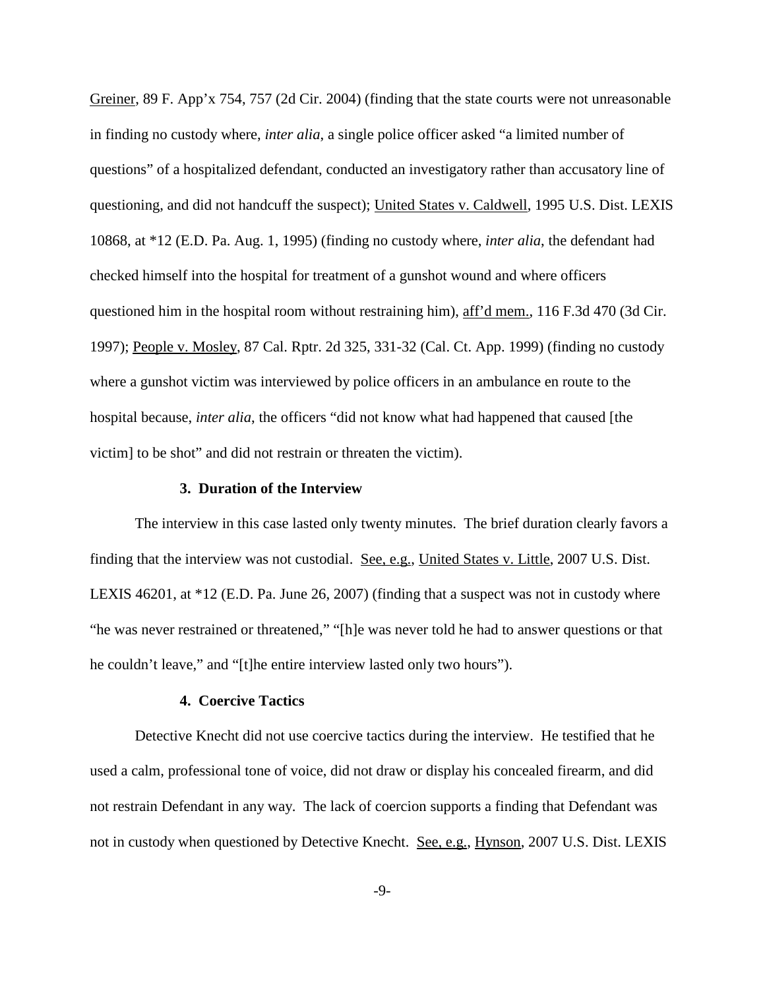Greiner, 89 F. App'x 754, 757 (2d Cir. 2004) (finding that the state courts were not unreasonable in finding no custody where, *inter alia*, a single police officer asked "a limited number of questions" of a hospitalized defendant, conducted an investigatory rather than accusatory line of questioning, and did not handcuff the suspect); United States v. Caldwell, 1995 U.S. Dist. LEXIS 10868, at \*12 (E.D. Pa. Aug. 1, 1995) (finding no custody where, *inter alia*, the defendant had checked himself into the hospital for treatment of a gunshot wound and where officers questioned him in the hospital room without restraining him), aff'd mem., 116 F.3d 470 (3d Cir. 1997); People v. Mosley, 87 Cal. Rptr. 2d 325, 331-32 (Cal. Ct. App. 1999) (finding no custody where a gunshot victim was interviewed by police officers in an ambulance en route to the hospital because, *inter alia*, the officers "did not know what had happened that caused [the victim] to be shot" and did not restrain or threaten the victim).

#### **3. Duration of the Interview**

The interview in this case lasted only twenty minutes. The brief duration clearly favors a finding that the interview was not custodial. See, e.g., United States v. Little, 2007 U.S. Dist. LEXIS 46201, at \*12 (E.D. Pa. June 26, 2007) (finding that a suspect was not in custody where "he was never restrained or threatened," "[h]e was never told he had to answer questions or that he couldn't leave," and "[t]he entire interview lasted only two hours").

#### **4. Coercive Tactics**

Detective Knecht did not use coercive tactics during the interview. He testified that he used a calm, professional tone of voice, did not draw or display his concealed firearm, and did not restrain Defendant in any way. The lack of coercion supports a finding that Defendant was not in custody when questioned by Detective Knecht. See, e.g., Hynson, 2007 U.S. Dist. LEXIS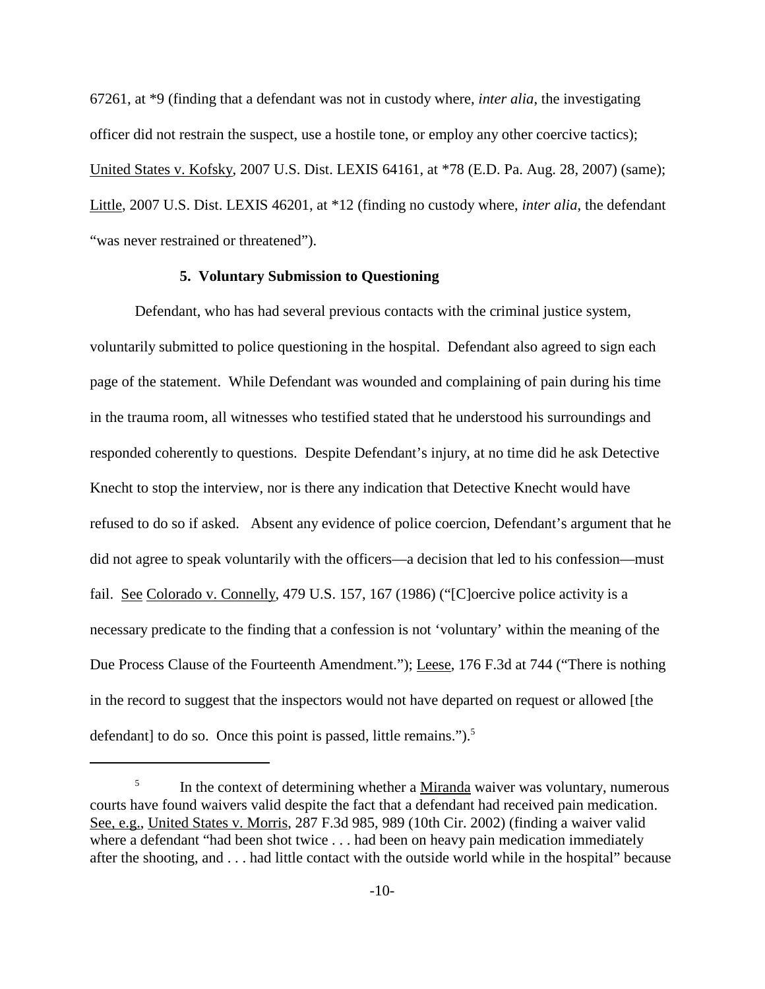67261, at \*9 (finding that a defendant was not in custody where, *inter alia*, the investigating officer did not restrain the suspect, use a hostile tone, or employ any other coercive tactics); United States v. Kofsky, 2007 U.S. Dist. LEXIS 64161, at \*78 (E.D. Pa. Aug. 28, 2007) (same); Little, 2007 U.S. Dist. LEXIS 46201, at \*12 (finding no custody where, *inter alia*, the defendant "was never restrained or threatened").

#### **5. Voluntary Submission to Questioning**

Defendant, who has had several previous contacts with the criminal justice system, voluntarily submitted to police questioning in the hospital. Defendant also agreed to sign each page of the statement. While Defendant was wounded and complaining of pain during his time in the trauma room, all witnesses who testified stated that he understood his surroundings and responded coherently to questions. Despite Defendant's injury, at no time did he ask Detective Knecht to stop the interview, nor is there any indication that Detective Knecht would have refused to do so if asked. Absent any evidence of police coercion, Defendant's argument that he did not agree to speak voluntarily with the officers—a decision that led to his confession—must fail. See Colorado v. Connelly, 479 U.S. 157, 167 (1986) ("[C]oercive police activity is a necessary predicate to the finding that a confession is not 'voluntary' within the meaning of the Due Process Clause of the Fourteenth Amendment."); Leese, 176 F.3d at 744 ("There is nothing in the record to suggest that the inspectors would not have departed on request or allowed [the defendant] to do so. Once this point is passed, little remains.").<sup>5</sup>

<sup>&</sup>lt;sup>5</sup> In the context of determining whether a <u>Miranda</u> waiver was voluntary, numerous courts have found waivers valid despite the fact that a defendant had received pain medication. See, e.g., United States v. Morris, 287 F.3d 985, 989 (10th Cir. 2002) (finding a waiver valid where a defendant "had been shot twice . . . had been on heavy pain medication immediately after the shooting, and . . . had little contact with the outside world while in the hospital" because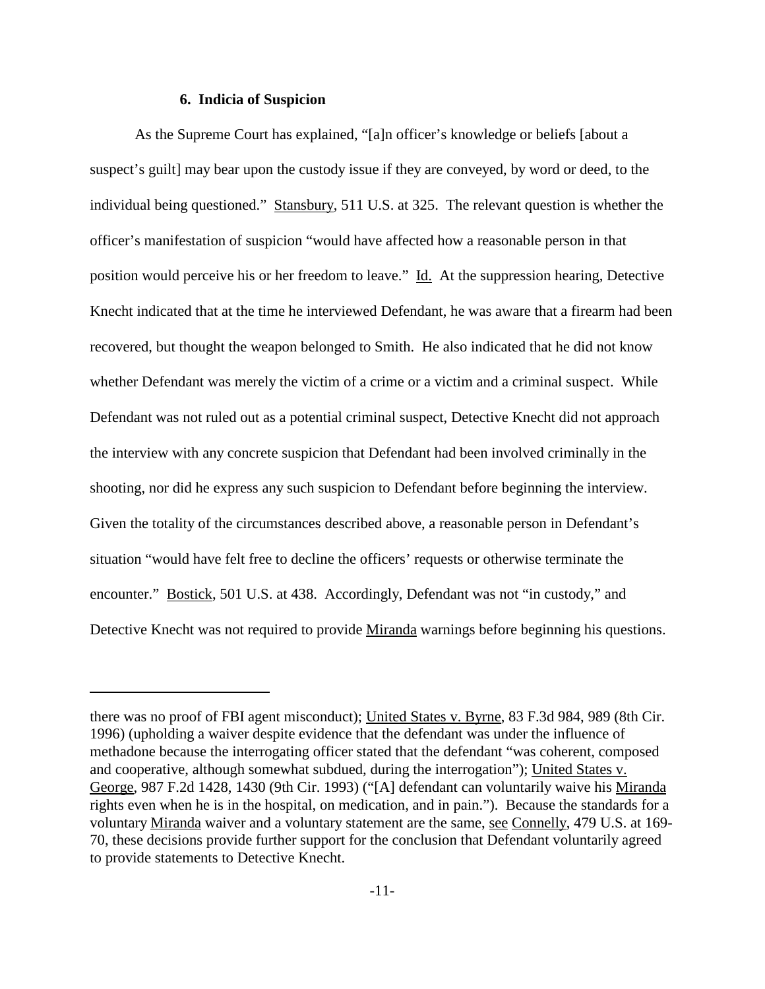#### **6. Indicia of Suspicion**

As the Supreme Court has explained, "[a]n officer's knowledge or beliefs [about a suspect's guilt] may bear upon the custody issue if they are conveyed, by word or deed, to the individual being questioned." Stansbury, 511 U.S. at 325. The relevant question is whether the officer's manifestation of suspicion "would have affected how a reasonable person in that position would perceive his or her freedom to leave." Id. At the suppression hearing, Detective Knecht indicated that at the time he interviewed Defendant, he was aware that a firearm had been recovered, but thought the weapon belonged to Smith. He also indicated that he did not know whether Defendant was merely the victim of a crime or a victim and a criminal suspect. While Defendant was not ruled out as a potential criminal suspect, Detective Knecht did not approach the interview with any concrete suspicion that Defendant had been involved criminally in the shooting, nor did he express any such suspicion to Defendant before beginning the interview. Given the totality of the circumstances described above, a reasonable person in Defendant's situation "would have felt free to decline the officers' requests or otherwise terminate the encounter." Bostick, 501 U.S. at 438. Accordingly, Defendant was not "in custody," and Detective Knecht was not required to provide Miranda warnings before beginning his questions.

there was no proof of FBI agent misconduct); United States v. Byrne, 83 F.3d 984, 989 (8th Cir. 1996) (upholding a waiver despite evidence that the defendant was under the influence of methadone because the interrogating officer stated that the defendant "was coherent, composed and cooperative, although somewhat subdued, during the interrogation"); United States v. George, 987 F.2d 1428, 1430 (9th Cir. 1993) ("[A] defendant can voluntarily waive his Miranda rights even when he is in the hospital, on medication, and in pain."). Because the standards for a voluntary Miranda waiver and a voluntary statement are the same, see Connelly, 479 U.S. at 169- 70, these decisions provide further support for the conclusion that Defendant voluntarily agreed to provide statements to Detective Knecht.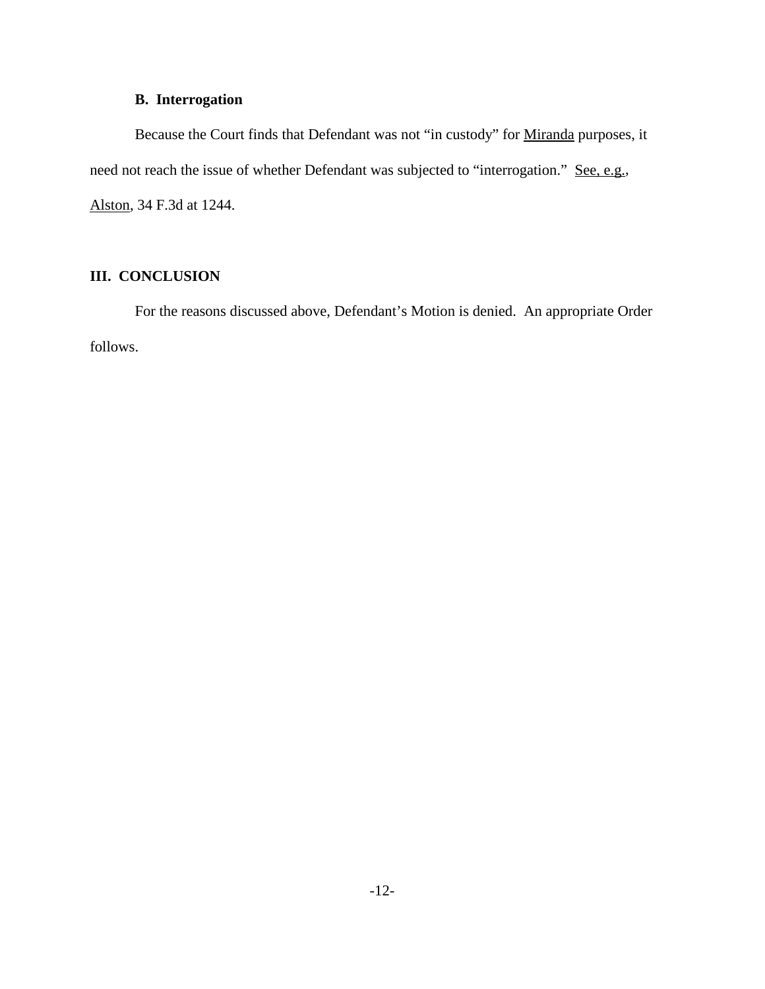# **B. Interrogation**

Because the Court finds that Defendant was not "in custody" for Miranda purposes, it need not reach the issue of whether Defendant was subjected to "interrogation." See, e.g., Alston, 34 F.3d at 1244.

# **III. CONCLUSION**

For the reasons discussed above, Defendant's Motion is denied. An appropriate Order follows.